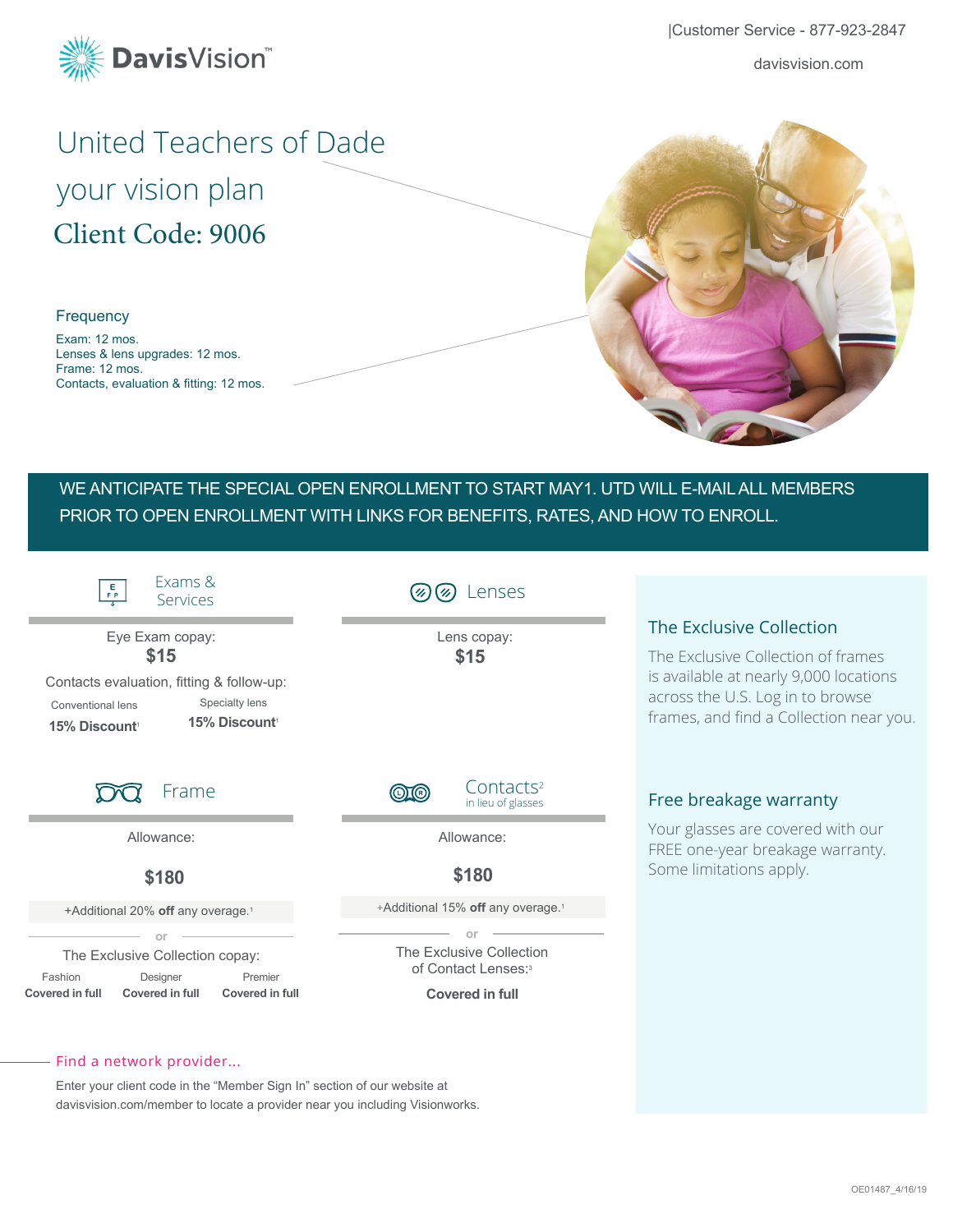

# United Teachers of Dade your vision plan Client Code: 9006

### Frequency

Exam: 12 mos. Lenses & lens upgrades: 12 mos. Frame: 12 mos. Contacts, evaluation & fitting: 12 mos.

# WE ANTICIPATE THE SPECIAL OPEN ENROLLMENT TO START MAY1. UTD WILL E-MAIL ALL MEMBERS PRIOR TO OPEN ENROLLMENT WITH LINKS FOR BENEFITS, RATES, AND HOW TO ENROLL.



#### Find a network provider...

Enter your client code in the "Member Sign In" section of our website at davisvision.com/member to locate a provider near you including Visionworks.